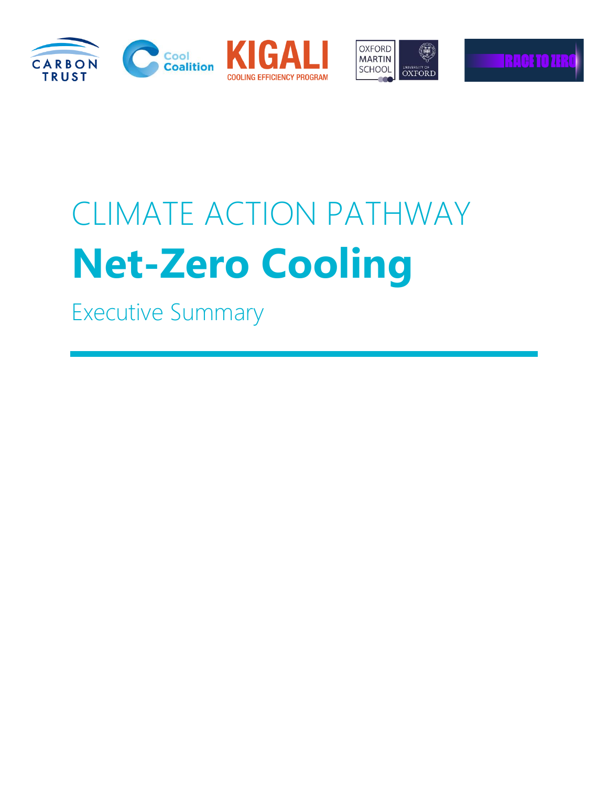





# CLIMATE ACTION PATHWAY **Net-Zero Cooling**

Executive Summary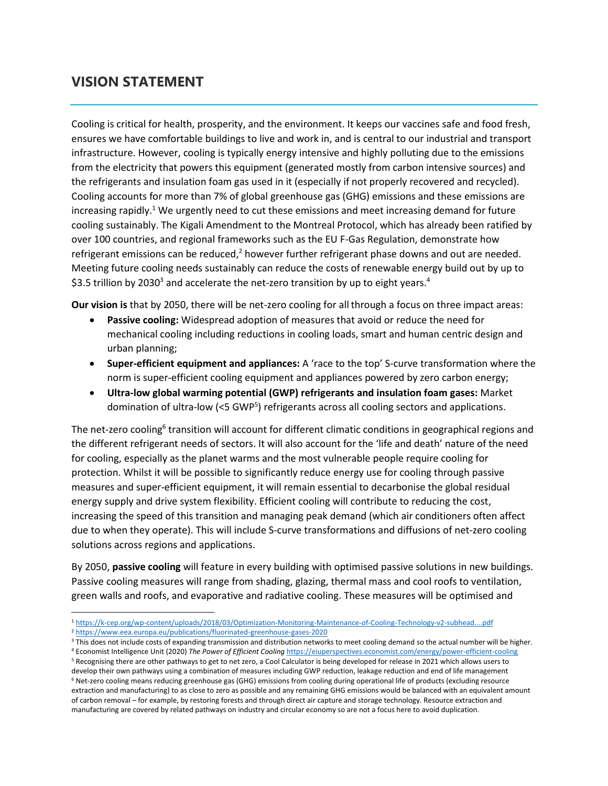#### **VISION STATEMENT**

Cooling is critical for health, prosperity, and the environment. It keeps our vaccines safe and food fresh, ensures we have comfortable buildings to live and work in, and is central to our industrial and transport infrastructure. However, cooling is typically energy intensive and highly polluting due to the emissions from the electricity that powers this equipment (generated mostly from carbon intensive sources) and the refrigerants and insulation foam gas used in it (especially if not properly recovered and recycled). Cooling accounts for more than 7% of global greenhouse gas (GHG) emissions and these emissions are increasing rapidly.<sup>1</sup> We urgently need to cut these emissions and meet increasing demand for future cooling sustainably. The Kigali Amendment to the Montreal Protocol, which has already been ratified by over 100 countries, and regional frameworks such as the EU F-Gas Regulation, demonstrate how refrigerant emissions can be reduced,<sup>2</sup> however further refrigerant phase downs and out are needed. Meeting future cooling needs sustainably can reduce the costs of renewable energy build out by up to \$3.5 trillion by 2030<sup>3</sup> and accelerate the net-zero transition by up to eight years.<sup>4</sup>

**Our vision is** that by 2050, there will be net-zero cooling for allthrough a focus on three impact areas:

- **Passive cooling:** Widespread adoption of measures that avoid or reduce the need for mechanical cooling including reductions in cooling loads, smart and human centric design and urban planning;
- **Super-efficient equipment and appliances:** A 'race to the top' S-curve transformation where the norm is super-efficient cooling equipment and appliances powered by zero carbon energy;
- **Ultra-low global warming potential (GWP) refrigerants and insulation foam gases:** Market domination of ultra-low (<5 GWP<sup>5</sup>) refrigerants across all cooling sectors and applications.

The net-zero cooling<sup>6</sup> transition will account for different climatic conditions in geographical regions and the different refrigerant needs of sectors. It will also account for the 'life and death' nature of the need for cooling, especially as the planet warms and the most vulnerable people require cooling for protection. Whilst it will be possible to significantly reduce energy use for cooling through passive measures and super-efficient equipment, it will remain essential to decarbonise the global residual energy supply and drive system flexibility. Efficient cooling will contribute to reducing the cost, increasing the speed of this transition and managing peak demand (which air conditioners often affect due to when they operate). This will include S-curve transformations and diffusions of net-zero cooling solutions across regions and applications.

By 2050, **passive cooling** will feature in every building with optimised passive solutions in new buildings. Passive cooling measures will range from shading, glazing, thermal mass and cool roofs to ventilation, green walls and roofs, and evaporative and radiative cooling. These measures will be optimised and

 $\overline{a}$ 

<sup>4</sup> Economist Intelligence Unit (2020) *The Power of Efficient Cooling* <https://eiuperspectives.economist.com/energy/power-efficient-cooling>

<sup>1</sup> <https://k-cep.org/wp-content/uploads/2018/03/Optimization-Monitoring-Maintenance-of-Cooling-Technology-v2-subhead....pdf>

<sup>2</sup> <https://www.eea.europa.eu/publications/fluorinated-greenhouse-gases-2020>

<sup>&</sup>lt;sup>3</sup> This does not include costs of expanding transmission and distribution networks to meet cooling demand so the actual number will be higher.

<sup>5</sup> Recognising there are other pathways to get to net zero, a Cool Calculator is being developed for release in 2021 which allows users to develop their own pathways using a combination of measures including GWP reduction, leakage reduction and end of life management <sup>6</sup> Net-zero cooling means reducing greenhouse gas (GHG) emissions from cooling during operational life of products (excluding resource extraction and manufacturing) to as close to zero as possible and any remaining GHG emissions would be balanced with an equivalent amount of carbon removal – for example, by restoring forests and through direct air capture and storage technology. Resource extraction and manufacturing are covered by related pathways on industry and circular economy so are not a focus here to avoid duplication.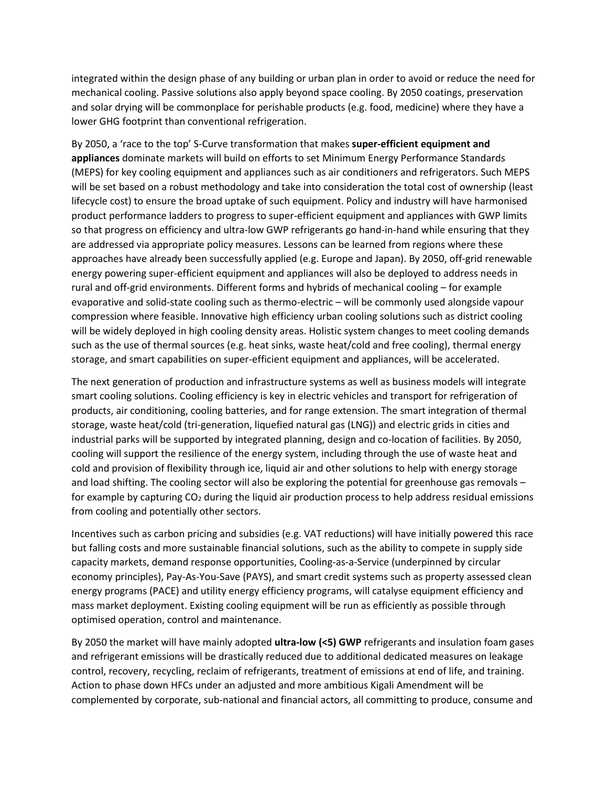integrated within the design phase of any building or urban plan in order to avoid or reduce the need for mechanical cooling. Passive solutions also apply beyond space cooling. By 2050 coatings, preservation and solar drying will be commonplace for perishable products (e.g. food, medicine) where they have a lower GHG footprint than conventional refrigeration.

By 2050, a 'race to the top' S-Curve transformation that makes **super-efficient equipment and appliances** dominate markets will build on efforts to set Minimum Energy Performance Standards (MEPS) for key cooling equipment and appliances such as air conditioners and refrigerators. Such MEPS will be set based on a robust methodology and take into consideration the total cost of ownership (least lifecycle cost) to ensure the broad uptake of such equipment. Policy and industry will have harmonised product performance ladders to progress to super-efficient equipment and appliances with GWP limits so that progress on efficiency and ultra-low GWP refrigerants go hand-in-hand while ensuring that they are addressed via appropriate policy measures. Lessons can be learned from regions where these approaches have already been successfully applied (e.g. Europe and Japan). By 2050, off-grid renewable energy powering super-efficient equipment and appliances will also be deployed to address needs in rural and off-grid environments. Different forms and hybrids of mechanical cooling – for example evaporative and solid-state cooling such as thermo-electric – will be commonly used alongside vapour compression where feasible. Innovative high efficiency urban cooling solutions such as district cooling will be widely deployed in high cooling density areas. Holistic system changes to meet cooling demands such as the use of thermal sources (e.g. heat sinks, waste heat/cold and free cooling), thermal energy storage, and smart capabilities on super-efficient equipment and appliances, will be accelerated.

The next generation of production and infrastructure systems as well as business models will integrate smart cooling solutions. Cooling efficiency is key in electric vehicles and transport for refrigeration of products, air conditioning, cooling batteries, and for range extension. The smart integration of thermal storage, waste heat/cold (tri-generation, liquefied natural gas (LNG)) and electric grids in cities and industrial parks will be supported by integrated planning, design and co-location of facilities. By 2050, cooling will support the resilience of the energy system, including through the use of waste heat and cold and provision of flexibility through ice, liquid air and other solutions to help with energy storage and load shifting. The cooling sector will also be exploring the potential for greenhouse gas removals – for example by capturing  $CO<sub>2</sub>$  during the liquid air production process to help address residual emissions from cooling and potentially other sectors.

Incentives such as carbon pricing and subsidies (e.g. VAT reductions) will have initially powered this race but falling costs and more sustainable financial solutions, such as the ability to compete in supply side capacity markets, demand response opportunities, Cooling-as-a-Service (underpinned by circular economy principles), Pay-As-You-Save (PAYS), and smart credit systems such as property assessed clean energy programs (PACE) and utility energy efficiency programs, will catalyse equipment efficiency and mass market deployment. Existing cooling equipment will be run as efficiently as possible through optimised operation, control and maintenance.

By 2050 the market will have mainly adopted **ultra-low (<5) GWP** refrigerants and insulation foam gases and refrigerant emissions will be drastically reduced due to additional dedicated measures on leakage control, recovery, recycling, reclaim of refrigerants, treatment of emissions at end of life, and training. Action to phase down HFCs under an adjusted and more ambitious Kigali Amendment will be complemented by corporate, sub-national and financial actors, all committing to produce, consume and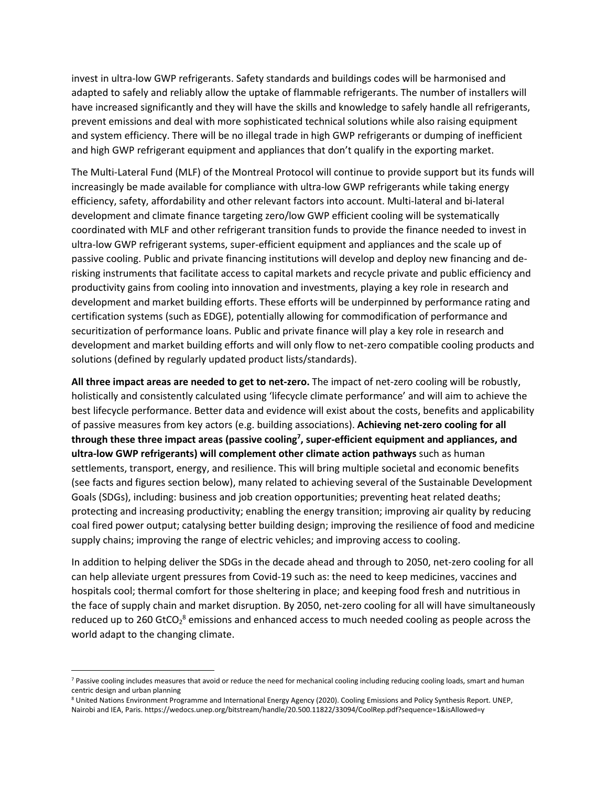invest in ultra-low GWP refrigerants. Safety standards and buildings codes will be harmonised and adapted to safely and reliably allow the uptake of flammable refrigerants. The number of installers will have increased significantly and they will have the skills and knowledge to safely handle all refrigerants, prevent emissions and deal with more sophisticated technical solutions while also raising equipment and system efficiency. There will be no illegal trade in high GWP refrigerants or dumping of inefficient and high GWP refrigerant equipment and appliances that don't qualify in the exporting market.

The Multi-Lateral Fund (MLF) of the Montreal Protocol will continue to provide support but its funds will increasingly be made available for compliance with ultra-low GWP refrigerants while taking energy efficiency, safety, affordability and other relevant factors into account. Multi-lateral and bi-lateral development and climate finance targeting zero/low GWP efficient cooling will be systematically coordinated with MLF and other refrigerant transition funds to provide the finance needed to invest in ultra-low GWP refrigerant systems, super-efficient equipment and appliances and the scale up of passive cooling. Public and private financing institutions will develop and deploy new financing and derisking instruments that facilitate access to capital markets and recycle private and public efficiency and productivity gains from cooling into innovation and investments, playing a key role in research and development and market building efforts. These efforts will be underpinned by performance rating and certification systems (such as EDGE), potentially allowing for commodification of performance and securitization of performance loans. Public and private finance will play a key role in research and development and market building efforts and will only flow to net-zero compatible cooling products and solutions (defined by regularly updated product lists/standards).

**All three impact areas are needed to get to net-zero.** The impact of net-zero cooling will be robustly, holistically and consistently calculated using 'lifecycle climate performance' and will aim to achieve the best lifecycle performance. Better data and evidence will exist about the costs, benefits and applicability of passive measures from key actors (e.g. building associations). **Achieving net-zero cooling for all through these three impact areas (passive cooling<sup>7</sup> , super-efficient equipment and appliances, and ultra-low GWP refrigerants) will complement other climate action pathways** such as human settlements, transport, energy, and resilience. This will bring multiple societal and economic benefits (see facts and figures section below), many related to achieving several of the Sustainable Development Goals (SDGs), including: business and job creation opportunities; preventing heat related deaths; protecting and increasing productivity; enabling the energy transition; improving air quality by reducing coal fired power output; catalysing better building design; improving the resilience of food and medicine supply chains; improving the range of electric vehicles; and improving access to cooling.

In addition to helping deliver the SDGs in the decade ahead and through to 2050, net-zero cooling for all can help alleviate urgent pressures from Covid-19 such as: the need to keep medicines, vaccines and hospitals cool; thermal comfort for those sheltering in place; and keeping food fresh and nutritious in the face of supply chain and market disruption. By 2050, net-zero cooling for all will have simultaneously reduced up to 260 GtCO<sub>2</sub><sup>8</sup> emissions and enhanced access to much needed cooling as people across the world adapt to the changing climate.

<sup>&</sup>lt;sup>7</sup> Passive cooling includes measures that avoid or reduce the need for mechanical cooling including reducing cooling loads, smart and human centric design and urban planning

<sup>8</sup> United Nations Environment Programme and International Energy Agency (2020). Cooling Emissions and Policy Synthesis Report. UNEP, Nairobi and IEA, Paris. https://wedocs.unep.org/bitstream/handle/20.500.11822/33094/CoolRep.pdf?sequence=1&isAllowed=y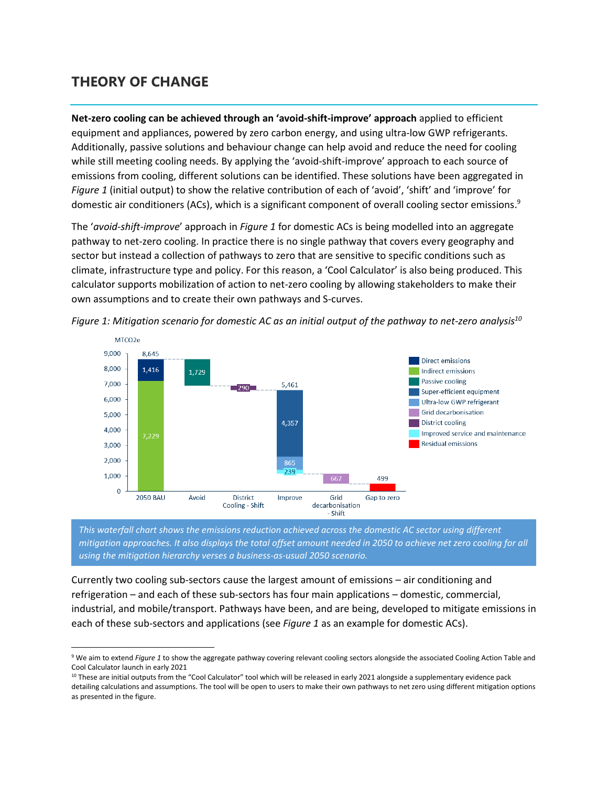### **THEORY OF CHANGE**

 $\overline{\phantom{a}}$ 

**Net-zero cooling can be achieved through an 'avoid-shift-improve' approach** applied to efficient equipment and appliances, powered by zero carbon energy, and using ultra-low GWP refrigerants. Additionally, passive solutions and behaviour change can help avoid and reduce the need for cooling while still meeting cooling needs. By applying the 'avoid-shift-improve' approach to each source of emissions from cooling, different solutions can be identified. These solutions have been aggregated in *Figure 1* (initial output) to show the relative contribution of each of 'avoid', 'shift' and 'improve' for domestic air conditioners (ACs), which is a significant component of overall cooling sector emissions.<sup>9</sup>

The '*avoid-shift-improve*' approach in *Figure 1* for domestic ACs is being modelled into an aggregate pathway to net-zero cooling. In practice there is no single pathway that covers every geography and sector but instead a collection of pathways to zero that are sensitive to specific conditions such as climate, infrastructure type and policy. For this reason, a 'Cool Calculator' is also being produced. This calculator supports mobilization of action to net-zero cooling by allowing stakeholders to make their own assumptions and to create their own pathways and S-curves.



*Figure 1: Mitigation scenario for domestic AC as an initial output of the pathway to net-zero analysis<sup>10</sup>*

*This waterfall chart shows the emissions reduction achieved across the domestic AC sector using different mitigation approaches. It also displays the total offset amount needed in 2050 to achieve net zero cooling for all using the mitigation hierarchy verses a business-as-usual 2050 scenario.* 

Currently two cooling sub-sectors cause the largest amount of emissions – air conditioning and refrigeration – and each of these sub-sectors has four main applications – domestic, commercial, industrial, and mobile/transport. Pathways have been, and are being, developed to mitigate emissions in each of these sub-sectors and applications (see *Figure 1* as an example for domestic ACs).

<sup>9</sup> We aim to extend *Figure 1* to show the aggregate pathway covering relevant cooling sectors alongside the associated Cooling Action Table and Cool Calculator launch in early 2021

<sup>&</sup>lt;sup>10</sup> These are initial outputs from the "Cool Calculator" tool which will be released in early 2021 alongside a supplementary evidence pack detailing calculations and assumptions. The tool will be open to users to make their own pathways to net zero using different mitigation options as presented in the figure.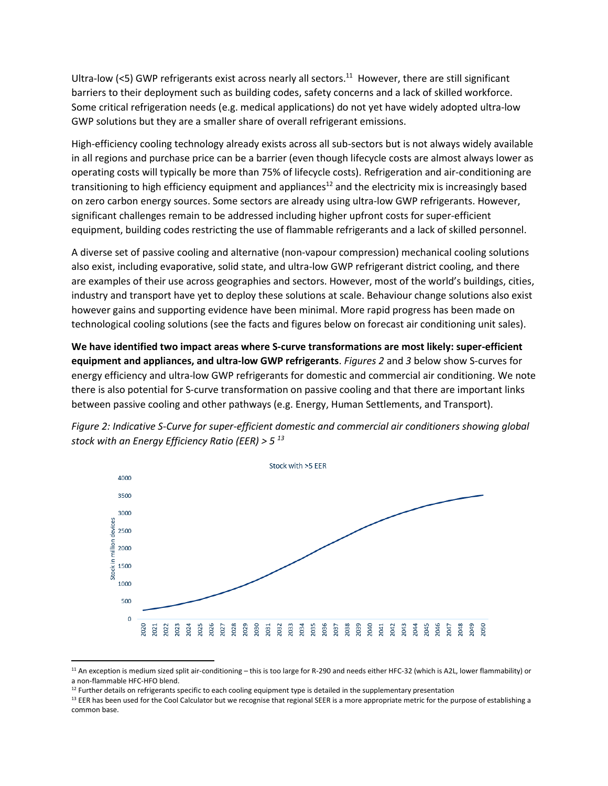Ultra-low (<5) GWP refrigerants exist across nearly all sectors.<sup>11</sup> However, there are still significant barriers to their deployment such as building codes, safety concerns and a lack of skilled workforce. Some critical refrigeration needs (e.g. medical applications) do not yet have widely adopted ultra-low GWP solutions but they are a smaller share of overall refrigerant emissions.

High-efficiency cooling technology already exists across all sub-sectors but is not always widely available in all regions and purchase price can be a barrier (even though lifecycle costs are almost always lower as operating costs will typically be more than 75% of lifecycle costs). Refrigeration and air-conditioning are transitioning to high efficiency equipment and appliances<sup>12</sup> and the electricity mix is increasingly based on zero carbon energy sources. Some sectors are already using ultra-low GWP refrigerants. However, significant challenges remain to be addressed including higher upfront costs for super-efficient equipment, building codes restricting the use of flammable refrigerants and a lack of skilled personnel.

A diverse set of passive cooling and alternative (non-vapour compression) mechanical cooling solutions also exist, including evaporative, solid state, and ultra-low GWP refrigerant district cooling, and there are examples of their use across geographies and sectors. However, most of the world's buildings, cities, industry and transport have yet to deploy these solutions at scale. Behaviour change solutions also exist however gains and supporting evidence have been minimal. More rapid progress has been made on technological cooling solutions (see the facts and figures below on forecast air conditioning unit sales).

**We have identified two impact areas where S-curve transformations are most likely: super-efficient equipment and appliances, and ultra-low GWP refrigerants**. *Figures 2* and *3* below show S-curves for energy efficiency and ultra-low GWP refrigerants for domestic and commercial air conditioning. We note there is also potential for S-curve transformation on passive cooling and that there are important links between passive cooling and other pathways (e.g. Energy, Human Settlements, and Transport).



*Figure 2: Indicative S-Curve for super-efficient domestic and commercial air conditioners showing global stock with an Energy Efficiency Ratio (EER) > 5 13*

 $11$  An exception is medium sized split air-conditioning – this is too large for R-290 and needs either HFC-32 (which is A2L, lower flammability) or a non-flammable HFC-HFO blend.

<sup>&</sup>lt;sup>12</sup> Further details on refrigerants specific to each cooling equipment type is detailed in the supplementary presentation

<sup>&</sup>lt;sup>13</sup> EER has been used for the Cool Calculator but we recognise that regional SEER is a more appropriate metric for the purpose of establishing a common base.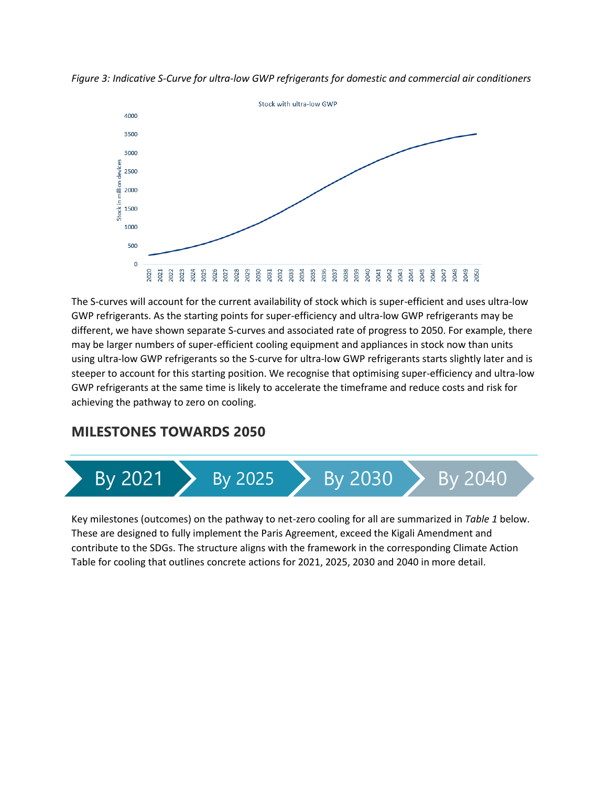*Figure 3: Indicative S-Curve for ultra-low GWP refrigerants for domestic and commercial air conditioners*



The S-curves will account for the current availability of stock which is super-efficient and uses ultra-low GWP refrigerants. As the starting points for super-efficiency and ultra-low GWP refrigerants may be different, we have shown separate S-curves and associated rate of progress to 2050. For example, there may be larger numbers of super-efficient cooling equipment and appliances in stock now than units using ultra-low GWP refrigerants so the S-curve for ultra-low GWP refrigerants starts slightly later and is steeper to account for this starting position. We recognise that optimising super-efficiency and ultra-low GWP refrigerants at the same time is likely to accelerate the timeframe and reduce costs and risk for achieving the pathway to zero on cooling.

### **MILESTONES TOWARDS 2050**



Key milestones (outcomes) on the pathway to net-zero cooling for all are summarized in *Table 1* below. These are designed to fully implement the Paris Agreement, exceed the Kigali Amendment and contribute to the SDGs. The structure aligns with the framework in the corresponding Climate Action Table for cooling that outlines concrete actions for 2021, 2025, 2030 and 2040 in more detail.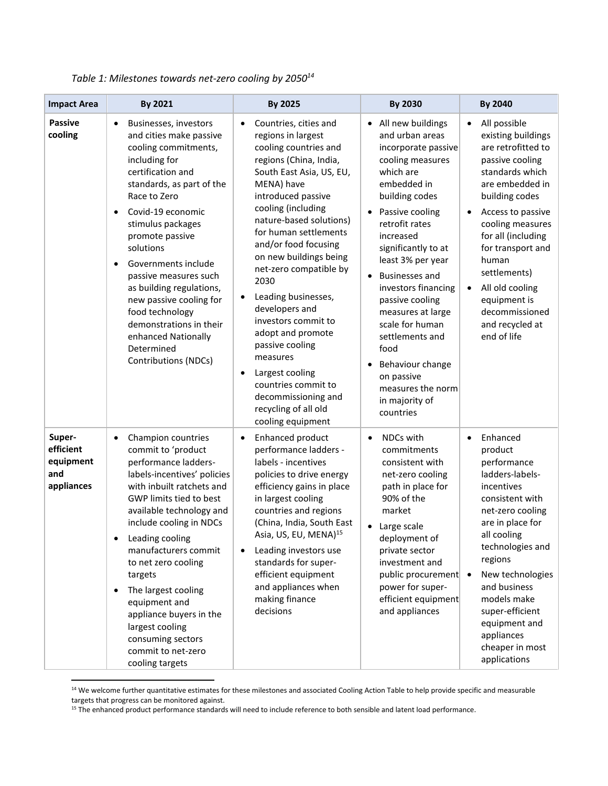| <b>Impact Area</b>                                    | By 2021                                                                                                                                                                                                                                                                                                                                                                                                                                                                                        | By 2025                                                                                                                                                                                                                                                                                                                                                                                                                                                                                                                                                                                               | <b>By 2030</b>                                                                                                                                                                                                                                                                                                                                                                                                                                                         | By 2040                                                                                                                                                                                                                                                                                                                                 |
|-------------------------------------------------------|------------------------------------------------------------------------------------------------------------------------------------------------------------------------------------------------------------------------------------------------------------------------------------------------------------------------------------------------------------------------------------------------------------------------------------------------------------------------------------------------|-------------------------------------------------------------------------------------------------------------------------------------------------------------------------------------------------------------------------------------------------------------------------------------------------------------------------------------------------------------------------------------------------------------------------------------------------------------------------------------------------------------------------------------------------------------------------------------------------------|------------------------------------------------------------------------------------------------------------------------------------------------------------------------------------------------------------------------------------------------------------------------------------------------------------------------------------------------------------------------------------------------------------------------------------------------------------------------|-----------------------------------------------------------------------------------------------------------------------------------------------------------------------------------------------------------------------------------------------------------------------------------------------------------------------------------------|
| <b>Passive</b><br>cooling                             | Businesses, investors<br>$\bullet$<br>and cities make passive<br>cooling commitments,<br>including for<br>certification and<br>standards, as part of the<br>Race to Zero<br>Covid-19 economic<br>$\bullet$<br>stimulus packages<br>promote passive<br>solutions<br>Governments include<br>$\bullet$<br>passive measures such<br>as building regulations,<br>new passive cooling for<br>food technology<br>demonstrations in their<br>enhanced Nationally<br>Determined<br>Contributions (NDCs) | Countries, cities and<br>$\bullet$<br>regions in largest<br>cooling countries and<br>regions (China, India,<br>South East Asia, US, EU,<br>MENA) have<br>introduced passive<br>cooling (including<br>nature-based solutions)<br>for human settlements<br>and/or food focusing<br>on new buildings being<br>net-zero compatible by<br>2030<br>Leading businesses,<br>$\bullet$<br>developers and<br>investors commit to<br>adopt and promote<br>passive cooling<br>measures<br>Largest cooling<br>$\bullet$<br>countries commit to<br>decommissioning and<br>recycling of all old<br>cooling equipment | • All new buildings<br>and urban areas<br>incorporate passive<br>cooling measures<br>which are<br>embedded in<br>building codes<br>Passive cooling<br>$\bullet$<br>retrofit rates<br>increased<br>significantly to at<br>least 3% per year<br><b>Businesses and</b><br>investors financing<br>passive cooling<br>measures at large<br>scale for human<br>settlements and<br>food<br>Behaviour change<br>on passive<br>measures the norm<br>in majority of<br>countries | All possible<br>existing buildings<br>are retrofitted to<br>passive cooling<br>standards which<br>are embedded in<br>building codes<br>Access to passive<br>cooling measures<br>for all (including<br>for transport and<br>human<br>settlements)<br>All old cooling<br>equipment is<br>decommissioned<br>and recycled at<br>end of life |
| Super-<br>efficient<br>equipment<br>and<br>appliances | Champion countries<br>$\bullet$<br>commit to 'product<br>performance ladders-<br>labels-incentives' policies<br>with inbuilt ratchets and<br>GWP limits tied to best<br>available technology and<br>include cooling in NDCs<br>Leading cooling<br>manufacturers commit<br>to net zero cooling<br>targets<br>The largest cooling<br>$\bullet$<br>equipment and<br>appliance buyers in the<br>largest cooling<br>consuming sectors<br>commit to net-zero<br>cooling targets                      | Enhanced product<br>$\bullet$<br>performance ladders -<br>labels - incentives<br>policies to drive energy<br>efficiency gains in place<br>in largest cooling<br>countries and regions<br>(China, India, South East<br>Asia, US, EU, MENA) <sup>15</sup><br>Leading investors use<br>standards for super-<br>efficient equipment<br>and appliances when<br>making finance<br>decisions                                                                                                                                                                                                                 | NDCs with<br>$\bullet$<br>commitments<br>consistent with<br>net-zero cooling<br>path in place for<br>90% of the<br>market<br>Large scale<br>deployment of<br>private sector<br>investment and<br>public procurement •<br>power for super-<br>efficient equipment<br>and appliances                                                                                                                                                                                     | Enhanced<br>product<br>performance<br>ladders-labels-<br>incentives<br>consistent with<br>net-zero cooling<br>are in place for<br>all cooling<br>technologies and<br>regions<br>New technologies<br>and business<br>models make<br>super-efficient<br>equipment and<br>appliances<br>cheaper in most<br>applications                    |

*Table 1: Milestones towards net-zero cooling by 2050<sup>14</sup>*

 $\overline{\phantom{a}}$ 

<sup>&</sup>lt;sup>14</sup> We welcome further quantitative estimates for these milestones and associated Cooling Action Table to help provide specific and measurable targets that progress can be monitored against.

<sup>&</sup>lt;sup>15</sup> The enhanced product performance standards will need to include reference to both sensible and latent load performance.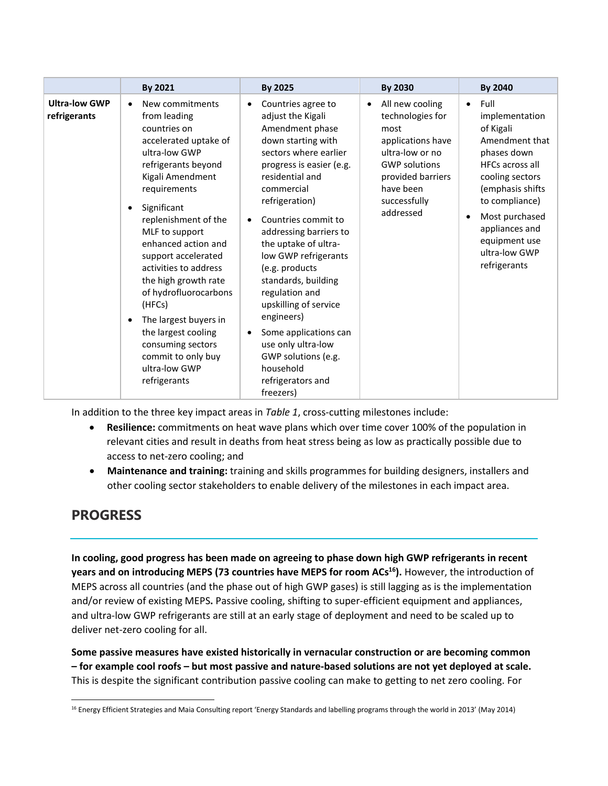|                                      | By 2021                                                                                                                                                                                                                                                                                                                                                                                                                                                                                                            | By 2025                                                                                                                                                                                                                                                                                                                                                                                                                                                                                                                                                 | By 2030                                                                                                                                                                                 | By 2040                                                                                                                                                                                                                                                                 |
|--------------------------------------|--------------------------------------------------------------------------------------------------------------------------------------------------------------------------------------------------------------------------------------------------------------------------------------------------------------------------------------------------------------------------------------------------------------------------------------------------------------------------------------------------------------------|---------------------------------------------------------------------------------------------------------------------------------------------------------------------------------------------------------------------------------------------------------------------------------------------------------------------------------------------------------------------------------------------------------------------------------------------------------------------------------------------------------------------------------------------------------|-----------------------------------------------------------------------------------------------------------------------------------------------------------------------------------------|-------------------------------------------------------------------------------------------------------------------------------------------------------------------------------------------------------------------------------------------------------------------------|
| <b>Ultra-low GWP</b><br>refrigerants | New commitments<br>$\bullet$<br>from leading<br>countries on<br>accelerated uptake of<br>ultra-low GWP<br>refrigerants beyond<br>Kigali Amendment<br>requirements<br>Significant<br>$\bullet$<br>replenishment of the<br>MLF to support<br>enhanced action and<br>support accelerated<br>activities to address<br>the high growth rate<br>of hydrofluorocarbons<br>(HFCs)<br>The largest buyers in<br>$\bullet$<br>the largest cooling<br>consuming sectors<br>commit to only buy<br>ultra-low GWP<br>refrigerants | Countries agree to<br>$\bullet$<br>adjust the Kigali<br>Amendment phase<br>down starting with<br>sectors where earlier<br>progress is easier (e.g.<br>residential and<br>commercial<br>refrigeration)<br>Countries commit to<br>$\bullet$<br>addressing barriers to<br>the uptake of ultra-<br>low GWP refrigerants<br>(e.g. products<br>standards, building<br>regulation and<br>upskilling of service<br>engineers)<br>Some applications can<br>$\bullet$<br>use only ultra-low<br>GWP solutions (e.g.<br>household<br>refrigerators and<br>freezers) | All new cooling<br>$\bullet$<br>technologies for<br>most<br>applications have<br>ultra-low or no<br><b>GWP solutions</b><br>provided barriers<br>have been<br>successfully<br>addressed | Full<br>$\bullet$<br>implementation<br>of Kigali<br>Amendment that<br>phases down<br><b>HFCs across all</b><br>cooling sectors<br>(emphasis shifts<br>to compliance)<br>Most purchased<br>$\bullet$<br>appliances and<br>equipment use<br>ultra-low GWP<br>refrigerants |

In addition to the three key impact areas in *Table 1*, cross-cutting milestones include:

- **Resilience:** commitments on heat wave plans which over time cover 100% of the population in relevant cities and result in deaths from heat stress being as low as practically possible due to access to net-zero cooling; and
- **Maintenance and training:** training and skills programmes for building designers, installers and other cooling sector stakeholders to enable delivery of the milestones in each impact area.

### **PROGRESS**

**In cooling, good progress has been made on agreeing to phase down high GWP refrigerants in recent years and on introducing MEPS (73 countries have MEPS for room ACs <sup>16</sup>).** However, the introduction of MEPS across all countries (and the phase out of high GWP gases) is still lagging as is the implementation and/or review of existing MEPS**.** Passive cooling, shifting to super-efficient equipment and appliances, and ultra-low GWP refrigerants are still at an early stage of deployment and need to be scaled up to deliver net-zero cooling for all.

**Some passive measures have existed historically in vernacular construction or are becoming common – for example cool roofs – but most passive and nature-based solutions are not yet deployed at scale.** This is despite the significant contribution passive cooling can make to getting to net zero cooling. For

 $\overline{\phantom{a}}$ <sup>16</sup> Energy Efficient Strategies and Maia Consulting report 'Energy Standards and labelling programs through the world in 2013' (May 2014)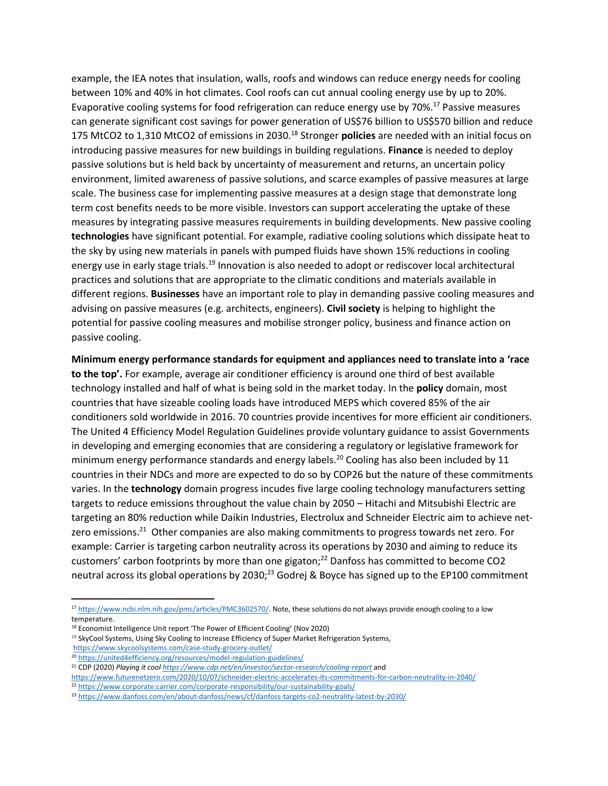example, the IEA notes that insulation, walls, roofs and windows can reduce energy needs for cooling between 10% and 40% in hot climates. Cool roofs can cut annual cooling energy use by up to 20%. Evaporative cooling systems for food refrigeration can reduce energy use by 70%.<sup>17</sup> Passive measures can generate significant cost savings for power generation of US\$76 billion to US\$570 billion and reduce 175 MtCO2 to 1,310 MtCO2 of emissions in 2030. <sup>18</sup> Stronger **policies** are needed with an initial focus on introducing passive measures for new buildings in building regulations. **Finance** is needed to deploy passive solutions but is held back by uncertainty of measurement and returns, an uncertain policy environment, limited awareness of passive solutions, and scarce examples of passive measures at large scale. The business case for implementing passive measures at a design stage that demonstrate long term cost benefits needs to be more visible. Investors can support accelerating the uptake of these measures by integrating passive measures requirements in building developments. New passive cooling **technologies** have significant potential. For example, radiative cooling solutions which dissipate heat to the sky by using new materials in panels with pumped fluids have shown 15% reductions in cooling energy use in early stage trials.<sup>19</sup> Innovation is also needed to adopt or rediscover local architectural practices and solutions that are appropriate to the climatic conditions and materials available in different regions. **Businesses** have an important role to play in demanding passive cooling measures and advising on passive measures (e.g. architects, engineers). **Civil society** is helping to highlight the potential for passive cooling measures and mobilise stronger policy, business and finance action on passive cooling.

**Minimum energy performance standards for equipment and appliances need to translate into a 'race to the top'.** For example, average air conditioner efficiency is around one third of best available technology installed and half of what is being sold in the market today. In the **policy** domain, most countries that have sizeable cooling loads have introduced MEPS which covered 85% of the air conditioners sold worldwide in 2016. 70 countries provide incentives for more efficient air conditioners. The United 4 Efficiency Model Regulation Guidelines provide voluntary guidance to assist Governments in developing and emerging economies that are considering a regulatory or legislative framework for minimum energy performance standards and energy labels.<sup>20</sup> Cooling has also been included by 11 countries in their NDCs and more are expected to do so by COP26 but the nature of these commitments varies. In the **technology** domain progress incudes five large cooling technology manufacturers setting targets to reduce emissions throughout the value chain by 2050 – Hitachi and Mitsubishi Electric are targeting an 80% reduction while Daikin Industries, Electrolux and Schneider Electric aim to achieve netzero emissions.<sup>21</sup> Other companies are also making commitments to progress towards net zero. For example: Carrier is targeting carbon neutrality across its operations by 2030 and aiming to reduce its customers' carbon footprints by more than one gigaton; <sup>22</sup> Danfoss has committed to become CO2 neutral across its global operations by 2030;<sup>23</sup> Godrej & Boyce has signed up to the EP100 commitment

 $^{17}$  [https://www.ncbi.nlm.nih.gov/pmc/articles/PMC3602570/.](https://www.ncbi.nlm.nih.gov/pmc/articles/PMC3602570/) Note, these solutions do not always provide enough cooling to a low temperature.

<sup>18</sup> Economist Intelligence Unit report 'The Power of Efficient Cooling' (Nov 2020)

<sup>&</sup>lt;sup>19</sup> SkyCool Systems, Using Sky Cooling to Increase Efficiency of Super Market Refrigeration Systems, <https://www.skycoolsystems.com/case-study-grocery-outlet/>

<sup>20</sup> <https://united4efficiency.org/resources/model-regulation-guidelines/>

<sup>21</sup> CDP (2020) *Playing it coo[l https://www.cdp.net/en/investor/sector-research/cooling-report](https://www.cdp.net/en/investor/sector-research/cooling-report)* and

<https://www.futurenetzero.com/2020/10/07/schneider-electric-accelerates-its-commitments-for-carbon-neutrality-in-2040/>

<sup>22</sup> <https://www.corporate.carrier.com/corporate-responsibility/our-sustainability-goals/>

<sup>23</sup> <https://www.danfoss.com/en/about-danfoss/news/cf/danfoss-targets-co2-neutrality-latest-by-2030/>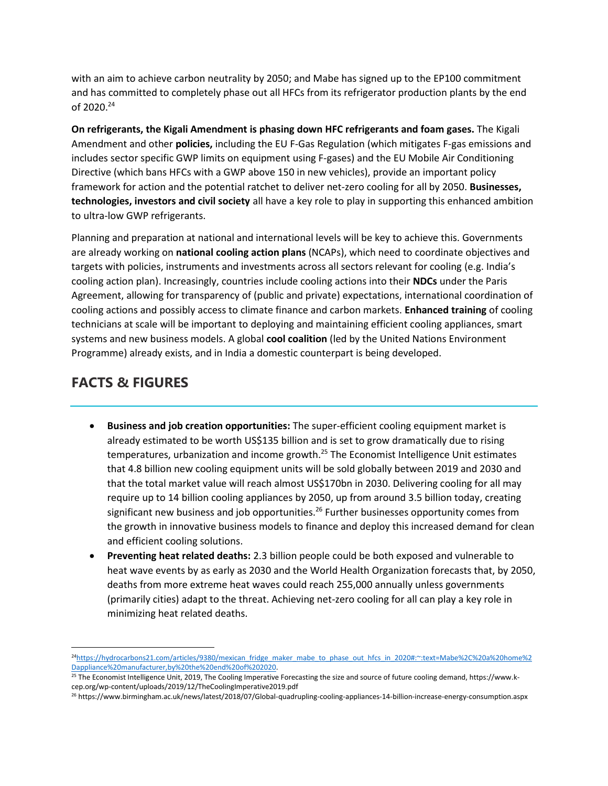with an aim to achieve carbon neutrality by 2050; and Mabe has signed up to the EP100 commitment and has committed to completely phase out all HFCs from its refrigerator production plants by the end of 2020.<sup>24</sup>

**On refrigerants, the Kigali Amendment is phasing down HFC refrigerants and foam gases.** The Kigali Amendment and other **policies,** including the EU F-Gas Regulation (which mitigates F-gas emissions and includes sector specific GWP limits on equipment using F-gases) and the EU Mobile Air Conditioning Directive (which bans HFCs with a GWP above 150 in new vehicles), provide an important policy framework for action and the potential ratchet to deliver net-zero cooling for all by 2050. **Businesses, technologies, investors and civil society** all have a key role to play in supporting this enhanced ambition to ultra-low GWP refrigerants.

Planning and preparation at national and international levels will be key to achieve this. Governments are already working on **national cooling action plans** (NCAPs), which need to coordinate objectives and targets with policies, instruments and investments across all sectors relevant for cooling (e.g. India's cooling action plan). Increasingly, countries include cooling actions into their **NDCs** under the Paris Agreement, allowing for transparency of (public and private) expectations, international coordination of cooling actions and possibly access to climate finance and carbon markets. **Enhanced training** of cooling technicians at scale will be important to deploying and maintaining efficient cooling appliances, smart systems and new business models. A global **cool coalition** (led by the United Nations Environment Programme) already exists, and in India a domestic counterpart is being developed.

## **FACTS & FIGURES**

 $\overline{\phantom{a}}$ 

- **Business and job creation opportunities:** The super-efficient cooling equipment market is already estimated to be worth US\$135 billion and is set to grow dramatically due to rising temperatures, urbanization and income growth.<sup>25</sup> The Economist Intelligence Unit estimates that 4.8 billion new cooling equipment units will be sold globally between 2019 and 2030 and that the total market value will reach almost US\$170bn in 2030. Delivering cooling for all may require up to 14 billion cooling appliances by 2050, up from around 3.5 billion today, creating significant new business and job opportunities.<sup>26</sup> Further businesses opportunity comes from the growth in innovative business models to finance and deploy this increased demand for clean and efficient cooling solutions.
- **Preventing heat related deaths:** 2.3 billion people could be both exposed and vulnerable to heat wave events by as early as 2030 and the World Health Organization forecasts that, by 2050, deaths from more extreme heat waves could reach 255,000 annually unless governments (primarily cities) adapt to the threat. Achieving net-zero cooling for all can play a key role in minimizing heat related deaths.

<sup>24</sup>[https://hydrocarbons21.com/articles/9380/mexican\\_fridge\\_maker\\_mabe\\_to\\_phase\\_out\\_hfcs\\_in\\_2020#:~:text=Mabe%2C%20a%20home%2](https://hydrocarbons21.com/articles/9380/mexican_fridge_maker_mabe_to_phase_out_hfcs_in_2020#:~:text=Mabe%2C%20a%20home%2Dappliance%20manufacturer,by%20the%20end%20of%202020) [Dappliance%20manufacturer,by%20the%20end%20of%202020.](https://hydrocarbons21.com/articles/9380/mexican_fridge_maker_mabe_to_phase_out_hfcs_in_2020#:~:text=Mabe%2C%20a%20home%2Dappliance%20manufacturer,by%20the%20end%20of%202020)

<sup>&</sup>lt;sup>25</sup> The Economist Intelligence Unit, 2019, The Cooling Imperative Forecasting the size and source of future cooling demand, https://www.kcep.org/wp-content/uploads/2019/12/TheCoolingImperative2019.pdf

<sup>26</sup> https://www.birmingham.ac.uk/news/latest/2018/07/Global-quadrupling-cooling-appliances-14-billion-increase-energy-consumption.aspx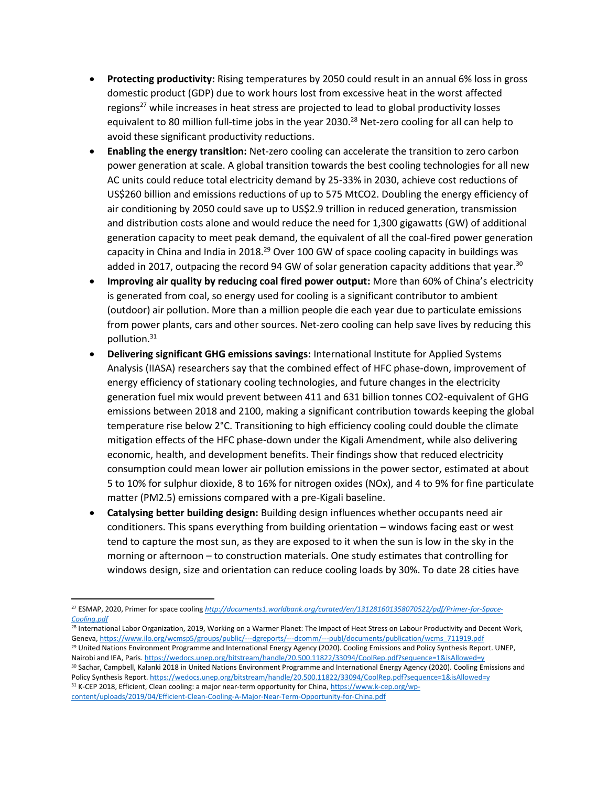- **Protecting productivity:** Rising temperatures by 2050 could result in an annual 6% loss in gross domestic product (GDP) due to work hours lost from excessive heat in the worst affected regions<sup>27</sup> while increases in heat stress are projected to lead to global productivity losses equivalent to 80 million full-time jobs in the year 2030.<sup>28</sup> Net-zero cooling for all can help to avoid these significant productivity reductions.
- **Enabling the energy transition:** Net-zero cooling can accelerate the transition to zero carbon power generation at scale. A global transition towards the best cooling technologies for all new AC units could reduce total electricity demand by 25-33% in 2030, achieve cost reductions of US\$260 billion and emissions reductions of up to 575 MtCO2. Doubling the energy efficiency of air conditioning by 2050 could save up to US\$2.9 trillion in reduced generation, transmission and distribution costs alone and would reduce the need for 1,300 gigawatts (GW) of additional generation capacity to meet peak demand, the equivalent of all the coal-fired power generation capacity in China and India in 2018.<sup>29</sup> Over 100 GW of space cooling capacity in buildings was added in 2017, outpacing the record 94 GW of solar generation capacity additions that year.<sup>30</sup>
- **Improving air quality by reducing coal fired power output:** More than 60% of China's electricity is generated from coal, so energy used for cooling is a significant contributor to ambient (outdoor) air pollution. More than a million people die each year due to particulate emissions from power plants, cars and other sources. Net-zero cooling can help save lives by reducing this pollution.<sup>31</sup>
- **Delivering significant GHG emissions savings:** International Institute for Applied Systems Analysis (IIASA) researchers say that the combined effect of HFC phase-down, improvement of energy efficiency of stationary cooling technologies, and future changes in the electricity generation fuel mix would prevent between 411 and 631 billion tonnes CO2-equivalent of GHG emissions between 2018 and 2100, making a significant contribution towards keeping the global temperature rise below 2°C. Transitioning to high efficiency cooling could double the climate mitigation effects of the HFC phase-down under the Kigali Amendment, while also delivering economic, health, and development benefits. Their findings show that reduced electricity consumption could mean lower air pollution emissions in the power sector, estimated at about 5 to 10% for sulphur dioxide, 8 to 16% for nitrogen oxides (NOx), and 4 to 9% for fine particulate matter (PM2.5) emissions compared with a pre-Kigali baseline.
- **Catalysing better building design:** Building design influences whether occupants need air conditioners. This spans everything from building orientation – windows facing east or west tend to capture the most sun, as they are exposed to it when the sun is low in the sky in the morning or afternoon – to construction materials. One study estimates that controlling for windows design, size and orientation can reduce cooling loads by 30%. To date 28 cities have

<sup>27</sup> ESMAP, 2020, Primer for space cooling *[http://documents1.worldbank.org/curated/en/131281601358070522/pdf/Primer-for-Space-](http://documents1.worldbank.org/curated/en/131281601358070522/pdf/Primer-for-Space-Cooling.pdf)[Cooling.pdf](http://documents1.worldbank.org/curated/en/131281601358070522/pdf/Primer-for-Space-Cooling.pdf)*

<sup>28</sup> International Labor Organization, 2019, Working on a Warmer Planet: The Impact of Heat Stress on Labour Productivity and Decent Work, Geneva, https://www.ilo.org/wcmsp5/groups/public/---dgreports/---dcomm/---publ/documents/publication/wcms\_711919.pdf <sup>29</sup> United Nations Environment Programme and International Energy Agency (2020). Cooling Emissions and Policy Synthesis Report. UNEP, Nairobi and IEA, Paris[. https://wedocs.unep.org/bitstream/handle/20.500.11822/33094/CoolRep.pdf?sequence=1&isAllowed=y](https://wedocs.unep.org/bitstream/handle/20.500.11822/33094/CoolRep.pdf?sequence=1&isAllowed=y) 30 Sachar, Campbell, Kalanki 2018 in United Nations Environment Programme and International Energy Agency (2020). Cooling Emissions and Policy Synthesis Report[. https://wedocs.unep.org/bitstream/handle/20.500.11822/33094/CoolRep.pdf?sequence=1&isAllowed=y](https://wedocs.unep.org/bitstream/handle/20.500.11822/33094/CoolRep.pdf?sequence=1&isAllowed=y) <sup>31</sup> K-CEP 2018, Efficient, Clean cooling: a major near-term opportunity for China[, https://www.k-cep.org/wp](https://www.k-cep.org/wp-content/uploads/2019/04/Efficient-Clean-Cooling-A-Major-Near-Term-Opportunity-for-China.pdf)[content/uploads/2019/04/Efficient-Clean-Cooling-A-Major-Near-Term-Opportunity-for-China.pdf](https://www.k-cep.org/wp-content/uploads/2019/04/Efficient-Clean-Cooling-A-Major-Near-Term-Opportunity-for-China.pdf)